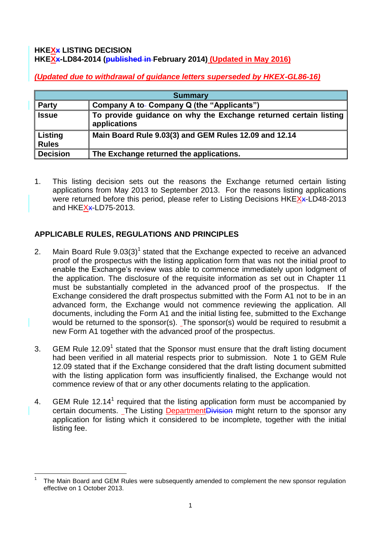### **HKEXx LISTING DECISION HKEXx-LD84-2014 (published in February 2014) (Updated in May 2016)**

*(Updated due to withdrawal of guidance letters superseded by HKEX-GL86-16)*

| <b>Summary</b>          |                                                                                  |
|-------------------------|----------------------------------------------------------------------------------|
| <b>Party</b>            | Company A to- Company Q (the "Applicants")                                       |
| <b>Issue</b>            | To provide guidance on why the Exchange returned certain listing<br>applications |
| Listing<br><b>Rules</b> | Main Board Rule 9.03(3) and GEM Rules 12.09 and 12.14                            |
| <b>Decision</b>         | The Exchange returned the applications.                                          |

1. This listing decision sets out the reasons the Exchange returned certain listing applications from May 2013 to September 2013. For the reasons listing applications were returned before this period, please refer to Listing Decisions HKEXx-LD48-2013 and HKEXx-LD75-2013.

# **APPLICABLE RULES, REGULATIONS AND PRINCIPLES**

- 2. Main Board Rule  $9.03(3)^1$  stated that the Exchange expected to receive an advanced proof of the prospectus with the listing application form that was not the initial proof to enable the Exchange's review was able to commence immediately upon lodgment of the application. The disclosure of the requisite information as set out in Chapter 11 must be substantially completed in the advanced proof of the prospectus. If the Exchange considered the draft prospectus submitted with the Form A1 not to be in an advanced form, the Exchange would not commence reviewing the application. All documents, including the Form A1 and the initial listing fee, submitted to the Exchange would be returned to the sponsor(s). The sponsor(s) would be required to resubmit a new Form A1 together with the advanced proof of the prospectus.
- 3. GEM Rule 12.09<sup>1</sup> stated that the Sponsor must ensure that the draft listing document had been verified in all material respects prior to submission. Note 1 to GEM Rule 12.09 stated that if the Exchange considered that the draft listing document submitted with the listing application form was insufficiently finalised, the Exchange would not commence review of that or any other documents relating to the application.
- 4. GEM Rule 12.14<sup>1</sup> required that the listing application form must be accompanied by certain documents. The Listing DepartmentDivision might return to the sponsor any application for listing which it considered to be incomplete, together with the initial listing fee.

<sup>1</sup> 1 The Main Board and GEM Rules were subsequently amended to complement the new sponsor regulation effective on 1 October 2013.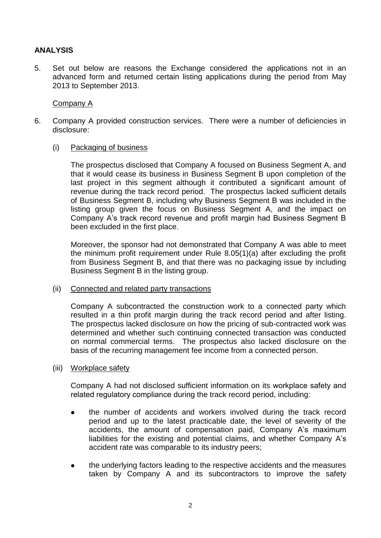## **ANALYSIS**

5. Set out below are reasons the Exchange considered the applications not in an advanced form and returned certain listing applications during the period from May 2013 to September 2013.

### Company A

- 6. Company A provided construction services. There were a number of deficiencies in disclosure:
	- (i) Packaging of business

The prospectus disclosed that Company A focused on Business Segment A, and that it would cease its business in Business Segment B upon completion of the last project in this segment although it contributed a significant amount of revenue during the track record period. The prospectus lacked sufficient details of Business Segment B, including why Business Segment B was included in the listing group given the focus on Business Segment A, and the impact on Company A's track record revenue and profit margin had Business Segment B been excluded in the first place.

Moreover, the sponsor had not demonstrated that Company A was able to meet the minimum profit requirement under Rule 8.05(1)(a) after excluding the profit from Business Segment B, and that there was no packaging issue by including Business Segment B in the listing group.

### (ii) Connected and related party transactions

Company A subcontracted the construction work to a connected party which resulted in a thin profit margin during the track record period and after listing. The prospectus lacked disclosure on how the pricing of sub-contracted work was determined and whether such continuing connected transaction was conducted on normal commercial terms. The prospectus also lacked disclosure on the basis of the recurring management fee income from a connected person.

### (iii) Workplace safety

Company A had not disclosed sufficient information on its workplace safety and related regulatory compliance during the track record period, including:

- the number of accidents and workers involved during the track record period and up to the latest practicable date, the level of severity of the accidents, the amount of compensation paid, Company A's maximum liabilities for the existing and potential claims, and whether Company A's accident rate was comparable to its industry peers;
- the underlying factors leading to the respective accidents and the measures taken by Company A and its subcontractors to improve the safety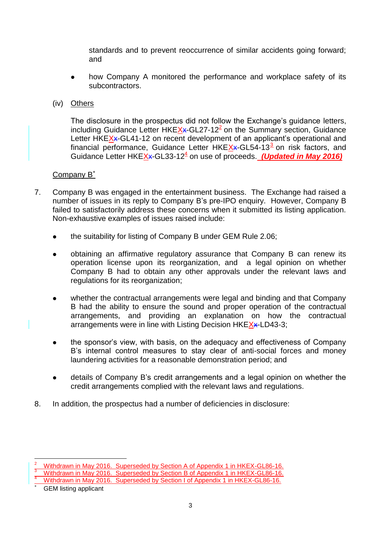standards and to prevent reoccurrence of similar accidents going forward; and

- how Company A monitored the performance and workplace safety of its subcontractors.
- (iv) Others

The disclosure in the prospectus did not follow the Exchange's guidance letters, including Guidance Letter HKEX<sub>\*</sub>-GL27-12<sup>2</sup> on the Summary section, Guidance Letter HKEX<sub>\*</sub>-GL41-12 on recent development of an applicant's operational and financial performance, Guidance Letter HKEXx-GL54-13<sup>3</sup> on risk factors, and Guidance Letter HKEX<sub>\*</sub>-GL33-12<sup>4</sup> on use of proceeds. *(Updated in May 2016)* 

## Company B<sup>\*</sup>

- 7. Company B was engaged in the entertainment business. The Exchange had raised a number of issues in its reply to Company B's pre-IPO enquiry. However, Company B failed to satisfactorily address these concerns when it submitted its listing application. Non-exhaustive examples of issues raised include:
	- the suitability for listing of Company B under GEM Rule 2.06;
	- obtaining an affirmative regulatory assurance that Company B can renew its operation license upon its reorganization, and a legal opinion on whether Company B had to obtain any other approvals under the relevant laws and regulations for its reorganization;
	- whether the contractual arrangements were legal and binding and that Company B had the ability to ensure the sound and proper operation of the contractual arrangements, and providing an explanation on how the contractual arrangements were in line with Listing Decision HKEXx-LD43-3;
	- the sponsor's view, with basis, on the adequacy and effectiveness of Company B's internal control measures to stay clear of anti-social forces and money laundering activities for a reasonable demonstration period; and
	- details of Company B's credit arrangements and a legal opinion on whether the credit arrangements complied with the relevant laws and regulations.
- 8. In addition, the prospectus had a number of deficiencies in disclosure:

<u>.</u>

<sup>&</sup>lt;sup>2</sup> Withdrawn in May 2016. Superseded by Section A of Appendix 1 in HKEX-GL86-16.

 $3$  Withdrawn in May 2016. Superseded by Section B of Appendix 1 in HKEX-GL86-16.

<sup>&</sup>lt;sup>4</sup> Withdrawn in May 2016. Superseded by Section I of Appendix 1 in HKEX-GL86-16.

GEM listing applicant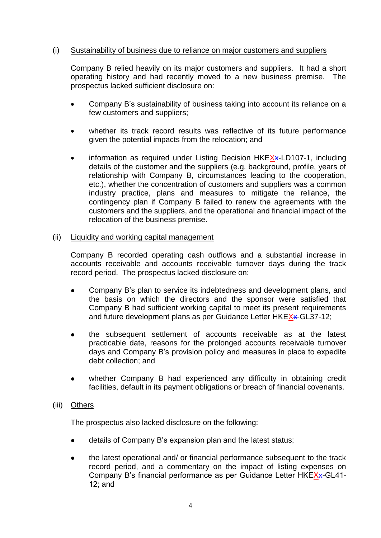### (i) Sustainability of business due to reliance on major customers and suppliers

Company B relied heavily on its major customers and suppliers. Lit had a short operating history and had recently moved to a new business premise. The prospectus lacked sufficient disclosure on:

- Company B's sustainability of business taking into account its reliance on a few customers and suppliers;
- whether its track record results was reflective of its future performance given the potential impacts from the relocation; and
- information as required under Listing Decision HKEX<sub>x</sub>-LD107-1, including details of the customer and the suppliers (e.g. background, profile, years of relationship with Company B, circumstances leading to the cooperation, etc.), whether the concentration of customers and suppliers was a common industry practice, plans and measures to mitigate the reliance, the contingency plan if Company B failed to renew the agreements with the customers and the suppliers, and the operational and financial impact of the relocation of the business premise.

#### (ii) Liquidity and working capital management

Company B recorded operating cash outflows and a substantial increase in accounts receivable and accounts receivable turnover days during the track record period. The prospectus lacked disclosure on:

- Company B's plan to service its indebtedness and development plans, and the basis on which the directors and the sponsor were satisfied that Company B had sufficient working capital to meet its present requirements and future development plans as per Guidance Letter HKEXx-GL37-12;
- the subsequent settlement of accounts receivable as at the latest practicable date, reasons for the prolonged accounts receivable turnover days and Company B's provision policy and measures in place to expedite debt collection; and
- whether Company B had experienced any difficulty in obtaining credit facilities, default in its payment obligations or breach of financial covenants.

### (iii) Others

The prospectus also lacked disclosure on the following:

- details of Company B's expansion plan and the latest status;
- the latest operational and/ or financial performance subsequent to the track record period, and a commentary on the impact of listing expenses on Company B's financial performance as per Guidance Letter HKEXx-GL41-12; and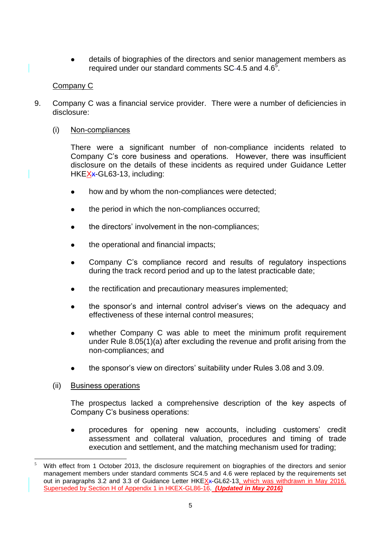details of biographies of the directors and senior management members as required under our standard comments SC-4.5 and 4.6<sup>5</sup>.

## Company C

9. Company C was a financial service provider. There were a number of deficiencies in disclosure:

## (i) Non-compliances

There were a significant number of non-compliance incidents related to Company C's core business and operations. However, there was insufficient disclosure on the details of these incidents as required under Guidance Letter HKEX<sub>\*</sub>GL63-13, including:

- how and by whom the non-compliances were detected;
- the period in which the non-compliances occurred;
- the directors' involvement in the non-compliances;
- the operational and financial impacts;
- Company C's compliance record and results of regulatory inspections during the track record period and up to the latest practicable date;
- the rectification and precautionary measures implemented;
- the sponsor's and internal control adviser's views on the adequacy and effectiveness of these internal control measures;
- whether Company C was able to meet the minimum profit requirement under Rule 8.05(1)(a) after excluding the revenue and profit arising from the non-compliances; and
- the sponsor's view on directors' suitability under Rules 3.08 and 3.09.

### (ii) Business operations

-

The prospectus lacked a comprehensive description of the key aspects of Company C's business operations:

 procedures for opening new accounts, including customers' credit assessment and collateral valuation, procedures and timing of trade execution and settlement, and the matching mechanism used for trading;

With effect from 1 October 2013, the disclosure requirement on biographies of the directors and senior management members under standard comments SC4.5 and 4.6 were replaced by the requirements set out in paragraphs 3.2 and 3.3 of Guidance Letter HKEXx-GL62-13, which was withdrawn in May 2016. Superseded by Section H of Appendix 1 in HKEX-GL86-16. *(Updated in May 2016)*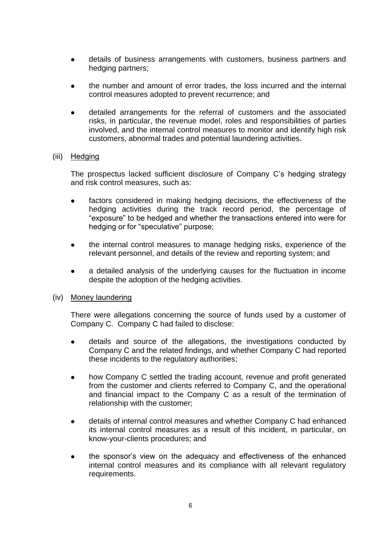- details of business arrangements with customers, business partners and hedging partners;
- the number and amount of error trades, the loss incurred and the internal control measures adopted to prevent recurrence; and
- detailed arrangements for the referral of customers and the associated risks, in particular, the revenue model, roles and responsibilities of parties involved, and the internal control measures to monitor and identify high risk customers, abnormal trades and potential laundering activities.

#### (iii) Hedging

The prospectus lacked sufficient disclosure of Company C's hedging strategy and risk control measures, such as:

- factors considered in making hedging decisions, the effectiveness of the hedging activities during the track record period, the percentage of "exposure" to be hedged and whether the transactions entered into were for hedging or for "speculative" purpose;
- the internal control measures to manage hedging risks, experience of the relevant personnel, and details of the review and reporting system; and
- a detailed analysis of the underlying causes for the fluctuation in income despite the adoption of the hedging activities.

#### (iv) Money laundering

There were allegations concerning the source of funds used by a customer of Company C. Company C had failed to disclose:

- details and source of the allegations, the investigations conducted by Company C and the related findings, and whether Company C had reported these incidents to the regulatory authorities;
- how Company C settled the trading account, revenue and profit generated from the customer and clients referred to Company C, and the operational and financial impact to the Company C as a result of the termination of relationship with the customer;
- details of internal control measures and whether Company C had enhanced its internal control measures as a result of this incident, in particular, on know-your-clients procedures; and
- the sponsor's view on the adequacy and effectiveness of the enhanced internal control measures and its compliance with all relevant regulatory requirements.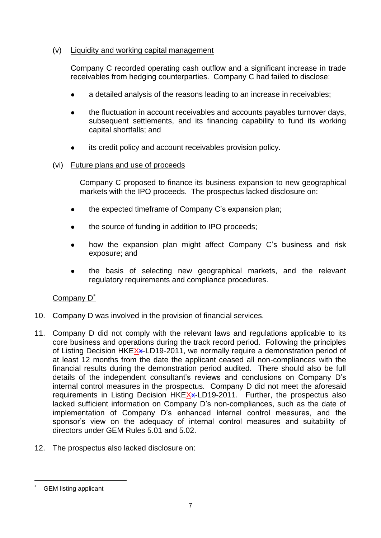### (v) Liquidity and working capital management

Company C recorded operating cash outflow and a significant increase in trade receivables from hedging counterparties. Company C had failed to disclose:

- a detailed analysis of the reasons leading to an increase in receivables;
- the fluctuation in account receivables and accounts payables turnover days, subsequent settlements, and its financing capability to fund its working capital shortfalls; and
- its credit policy and account receivables provision policy.

## (vi) Future plans and use of proceeds

Company C proposed to finance its business expansion to new geographical markets with the IPO proceeds. The prospectus lacked disclosure on:

- the expected timeframe of Company C's expansion plan;
- the source of funding in addition to IPO proceeds;
- how the expansion plan might affect Company C's business and risk exposure; and
- the basis of selecting new geographical markets, and the relevant regulatory requirements and compliance procedures.

## Company D<sup>\*</sup>

- 10. Company D was involved in the provision of financial services.
- 11. Company D did not comply with the relevant laws and regulations applicable to its core business and operations during the track record period. Following the principles of Listing Decision HKEX<sub>x</sub>-LD19-2011, we normally require a demonstration period of at least 12 months from the date the applicant ceased all non-compliances with the financial results during the demonstration period audited. There should also be full details of the independent consultant's reviews and conclusions on Company D's internal control measures in the prospectus. Company D did not meet the aforesaid requirements in Listing Decision HKEXx-LD19-2011. Further, the prospectus also lacked sufficient information on Company D's non-compliances, such as the date of implementation of Company D's enhanced internal control measures, and the sponsor's view on the adequacy of internal control measures and suitability of directors under GEM Rules 5.01 and 5.02.
- 12. The prospectus also lacked disclosure on:

GEM listing applicant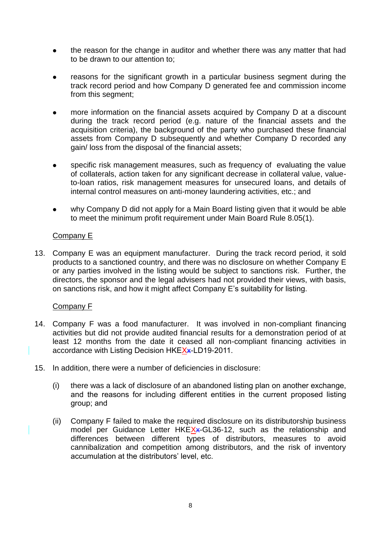- the reason for the change in auditor and whether there was any matter that had to be drawn to our attention to;
- reasons for the significant growth in a particular business segment during the track record period and how Company D generated fee and commission income from this segment;
- more information on the financial assets acquired by Company D at a discount during the track record period (e.g. nature of the financial assets and the acquisition criteria), the background of the party who purchased these financial assets from Company D subsequently and whether Company D recorded any gain/ loss from the disposal of the financial assets;
- specific risk management measures, such as frequency of evaluating the value of collaterals, action taken for any significant decrease in collateral value, valueto-loan ratios, risk management measures for unsecured loans, and details of internal control measures on anti-money laundering activities, etc.; and
- why Company D did not apply for a Main Board listing given that it would be able to meet the minimum profit requirement under Main Board Rule 8.05(1).

### Company E

13. Company E was an equipment manufacturer. During the track record period, it sold products to a sanctioned country, and there was no disclosure on whether Company E or any parties involved in the listing would be subject to sanctions risk. Further, the directors, the sponsor and the legal advisers had not provided their views, with basis, on sanctions risk, and how it might affect Company E's suitability for listing.

## Company F

- 14. Company F was a food manufacturer. It was involved in non-compliant financing activities but did not provide audited financial results for a demonstration period of at least 12 months from the date it ceased all non-compliant financing activities in accordance with Listing Decision HKEX<sub>x</sub>-LD19-2011.
- 15. In addition, there were a number of deficiencies in disclosure:
	- (i) there was a lack of disclosure of an abandoned listing plan on another exchange, and the reasons for including different entities in the current proposed listing group; and
	- (ii) Company F failed to make the required disclosure on its distributorship business model per Guidance Letter HKEXx-GL36-12, such as the relationship and differences between different types of distributors, measures to avoid cannibalization and competition among distributors, and the risk of inventory accumulation at the distributors' level, etc.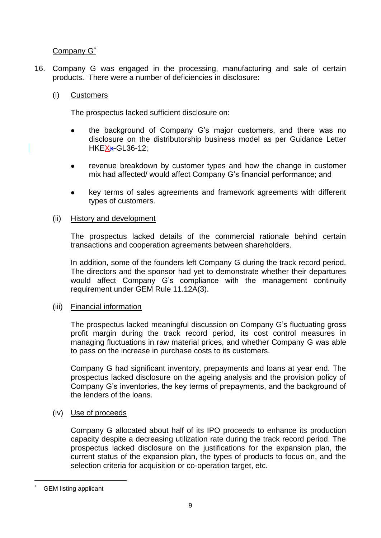## Company G<sup>\*</sup>

16. Company G was engaged in the processing, manufacturing and sale of certain products. There were a number of deficiencies in disclosure:

### (i) Customers

The prospectus lacked sufficient disclosure on:

- the background of Company G's major customers, and there was no disclosure on the distributorship business model as per Guidance Letter HKEX\*GL36-12;
- revenue breakdown by customer types and how the change in customer mix had affected/ would affect Company G's financial performance; and
- key terms of sales agreements and framework agreements with different types of customers.

### (ii) History and development

The prospectus lacked details of the commercial rationale behind certain transactions and cooperation agreements between shareholders.

In addition, some of the founders left Company G during the track record period. The directors and the sponsor had yet to demonstrate whether their departures would affect Company G's compliance with the management continuity requirement under GEM Rule 11.12A(3).

### (iii) Financial information

The prospectus lacked meaningful discussion on Company G's fluctuating gross profit margin during the track record period, its cost control measures in managing fluctuations in raw material prices, and whether Company G was able to pass on the increase in purchase costs to its customers.

Company G had significant inventory, prepayments and loans at year end. The prospectus lacked disclosure on the ageing analysis and the provision policy of Company G's inventories, the key terms of prepayments, and the background of the lenders of the loans.

### (iv) Use of proceeds

Company G allocated about half of its IPO proceeds to enhance its production capacity despite a decreasing utilization rate during the track record period. The prospectus lacked disclosure on the justifications for the expansion plan, the current status of the expansion plan, the types of products to focus on, and the selection criteria for acquisition or co-operation target, etc.

GEM listing applicant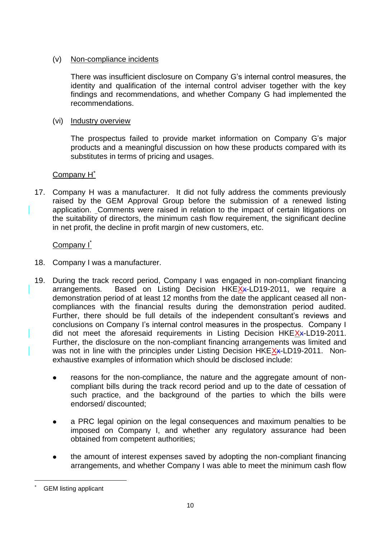### (v) Non-compliance incidents

There was insufficient disclosure on Company G's internal control measures, the identity and qualification of the internal control adviser together with the key findings and recommendations, and whether Company G had implemented the recommendations.

### (vi) Industry overview

The prospectus failed to provide market information on Company G's major products and a meaningful discussion on how these products compared with its substitutes in terms of pricing and usages.

## Company H<sup>\*</sup>

17. Company H was a manufacturer. It did not fully address the comments previously raised by the GEM Approval Group before the submission of a renewed listing application. Comments were raised in relation to the impact of certain litigations on the suitability of directors, the minimum cash flow requirement, the significant decline in net profit, the decline in profit margin of new customers, etc.

## <u>Company I<sup>\*</sup></u>

- 18. Company I was a manufacturer.
- 19. During the track record period, Company I was engaged in non-compliant financing arrangements. Based on Listing Decision HKE $X$  x-LD19-2011, we require a demonstration period of at least 12 months from the date the applicant ceased all noncompliances with the financial results during the demonstration period audited. Further, there should be full details of the independent consultant's reviews and conclusions on Company I's internal control measures in the prospectus. Company I did not meet the aforesaid requirements in Listing Decision HKEXx-LD19-2011. Further, the disclosure on the non-compliant financing arrangements was limited and was not in line with the principles under Listing Decision HKEXx-LD19-2011. Nonexhaustive examples of information which should be disclosed include:
	- reasons for the non-compliance, the nature and the aggregate amount of noncompliant bills during the track record period and up to the date of cessation of such practice, and the background of the parties to which the bills were endorsed/ discounted;
	- a PRC legal opinion on the legal consequences and maximum penalties to be imposed on Company I, and whether any regulatory assurance had been obtained from competent authorities;
	- the amount of interest expenses saved by adopting the non-compliant financing arrangements, and whether Company I was able to meet the minimum cash flow

GEM listing applicant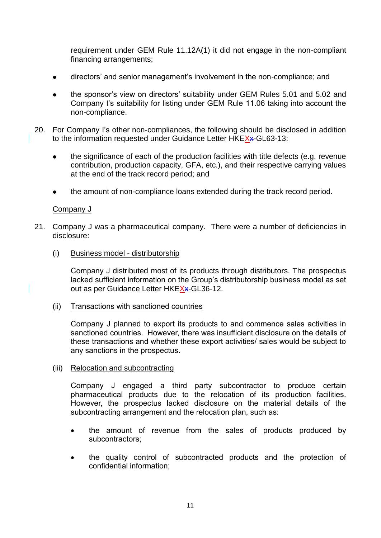requirement under GEM Rule 11.12A(1) it did not engage in the non-compliant financing arrangements;

- directors' and senior management's involvement in the non-compliance; and
- the sponsor's view on directors' suitability under GEM Rules 5.01 and 5.02 and Company I's suitability for listing under GEM Rule 11.06 taking into account the non-compliance.
- 20. For Company I's other non-compliances, the following should be disclosed in addition to the information requested under Guidance Letter HKEXx-GL63-13:
	- the significance of each of the production facilities with title defects (e.g. revenue contribution, production capacity, GFA, etc.), and their respective carrying values at the end of the track record period; and
	- the amount of non-compliance loans extended during the track record period.

### Company J

- 21. Company J was a pharmaceutical company. There were a number of deficiencies in disclosure:
	- (i) Business model distributorship

Company J distributed most of its products through distributors. The prospectus lacked sufficient information on the Group's distributorship business model as set out as per Guidance Letter HKEXx-GL36-12.

(ii) Transactions with sanctioned countries

Company J planned to export its products to and commence sales activities in sanctioned countries. However, there was insufficient disclosure on the details of these transactions and whether these export activities/ sales would be subject to any sanctions in the prospectus.

(iii) Relocation and subcontracting

Company J engaged a third party subcontractor to produce certain pharmaceutical products due to the relocation of its production facilities. However, the prospectus lacked disclosure on the material details of the subcontracting arrangement and the relocation plan, such as:

- the amount of revenue from the sales of products produced by subcontractors;
- the quality control of subcontracted products and the protection of confidential information;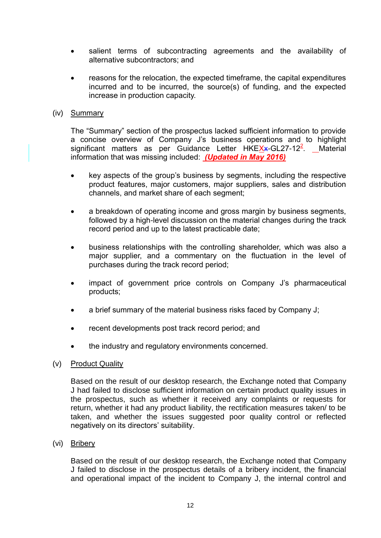- salient terms of subcontracting agreements and the availability of alternative subcontractors; and
- reasons for the relocation, the expected timeframe, the capital expenditures incurred and to be incurred, the source(s) of funding, and the expected increase in production capacity.

#### (iv) Summary

The "Summary" section of the prospectus lacked sufficient information to provide a concise overview of Company J's business operations and to highlight significant matters as per Guidance Letter HKEXx-GL27-12<sup>2</sup>. Material information that was missing included: *(Updated in May 2016)*

- key aspects of the group's business by segments, including the respective product features, major customers, major suppliers, sales and distribution channels, and market share of each segment;
- a breakdown of operating income and gross margin by business segments, followed by a high-level discussion on the material changes during the track record period and up to the latest practicable date;
- business relationships with the controlling shareholder, which was also a major supplier, and a commentary on the fluctuation in the level of purchases during the track record period;
- impact of government price controls on Company J's pharmaceutical products;
- a brief summary of the material business risks faced by Company J;
- recent developments post track record period; and
- the industry and regulatory environments concerned.

### (v) Product Quality

Based on the result of our desktop research, the Exchange noted that Company J had failed to disclose sufficient information on certain product quality issues in the prospectus, such as whether it received any complaints or requests for return, whether it had any product liability, the rectification measures taken/ to be taken, and whether the issues suggested poor quality control or reflected negatively on its directors' suitability.

(vi) Bribery

Based on the result of our desktop research, the Exchange noted that Company J failed to disclose in the prospectus details of a bribery incident, the financial and operational impact of the incident to Company J, the internal control and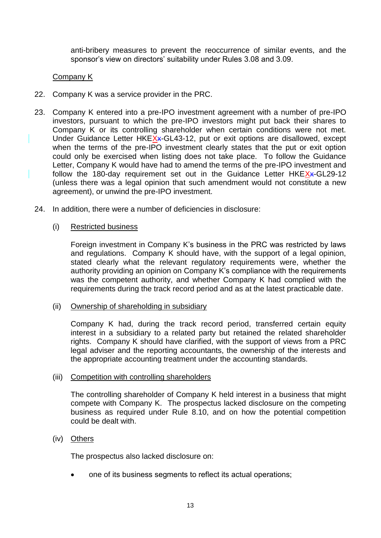anti-bribery measures to prevent the reoccurrence of similar events, and the sponsor's view on directors' suitability under Rules 3.08 and 3.09.

### Company K

- 22. Company K was a service provider in the PRC.
- 23. Company K entered into a pre-IPO investment agreement with a number of pre-IPO investors, pursuant to which the pre-IPO investors might put back their shares to Company K or its controlling shareholder when certain conditions were not met. Under Guidance Letter HKEXx-GL43-12, put or exit options are disallowed, except when the terms of the pre-IPO investment clearly states that the put or exit option could only be exercised when listing does not take place. To follow the Guidance Letter, Company K would have had to amend the terms of the pre-IPO investment and follow the 180-day requirement set out in the Guidance Letter HKEXx-GL29-12 (unless there was a legal opinion that such amendment would not constitute a new agreement), or unwind the pre-IPO investment.
- 24. In addition, there were a number of deficiencies in disclosure:

### (i) Restricted business

Foreign investment in Company K's business in the PRC was restricted by laws and regulations. Company K should have, with the support of a legal opinion, stated clearly what the relevant regulatory requirements were, whether the authority providing an opinion on Company K's compliance with the requirements was the competent authority, and whether Company K had complied with the requirements during the track record period and as at the latest practicable date.

(ii) Ownership of shareholding in subsidiary

Company K had, during the track record period, transferred certain equity interest in a subsidiary to a related party but retained the related shareholder rights. Company K should have clarified, with the support of views from a PRC legal adviser and the reporting accountants, the ownership of the interests and the appropriate accounting treatment under the accounting standards.

#### (iii) Competition with controlling shareholders

The controlling shareholder of Company K held interest in a business that might compete with Company K. The prospectus lacked disclosure on the competing business as required under Rule 8.10, and on how the potential competition could be dealt with.

### (iv) Others

The prospectus also lacked disclosure on:

one of its business segments to reflect its actual operations;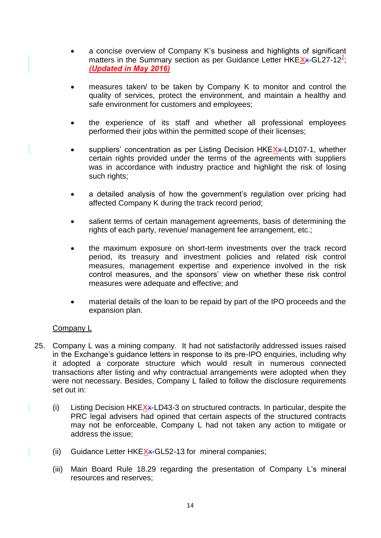- a concise overview of Company K's business and highlights of significant matters in the Summary section as per Guidance Letter HKEXx-GL27-12<sup>2</sup>; *(Updated in May 2016)*
- measures taken/ to be taken by Company K to monitor and control the quality of services, protect the environment, and maintain a healthy and safe environment for customers and employees;
- the experience of its staff and whether all professional employees performed their jobs within the permitted scope of their licenses;
- $\bullet$  suppliers' concentration as per Listing Decision HKE $X$ x-LD107-1, whether certain rights provided under the terms of the agreements with suppliers was in accordance with industry practice and highlight the risk of losing such rights;
- a detailed analysis of how the government's regulation over pricing had affected Company K during the track record period;
- salient terms of certain management agreements, basis of determining the rights of each party, revenue/ management fee arrangement, etc.;
- the maximum exposure on short-term investments over the track record period, its treasury and investment policies and related risk control measures, management expertise and experience involved in the risk control measures, and the sponsors' view on whether these risk control measures were adequate and effective; and
- material details of the loan to be repaid by part of the IPO proceeds and the expansion plan.

## Company L

- 25. Company L was a mining company. It had not satisfactorily addressed issues raised in the Exchange's guidance letters in response to its pre-IPO enquiries, including why it adopted a corporate structure which would result in numerous connected transactions after listing and why contractual arrangements were adopted when they were not necessary. Besides, Company L failed to follow the disclosure requirements set out in:
	- (i) Listing Decision HKEXx-LD43-3 on structured contracts. In particular, despite the PRC legal advisers had opined that certain aspects of the structured contracts may not be enforceable, Company L had not taken any action to mitigate or address the issue;
	- (ii) Guidance Letter HKEX<sub>X</sub>-GL52-13 for mineral companies;
	- (iii) Main Board Rule 18.29 regarding the presentation of Company L's mineral resources and reserves;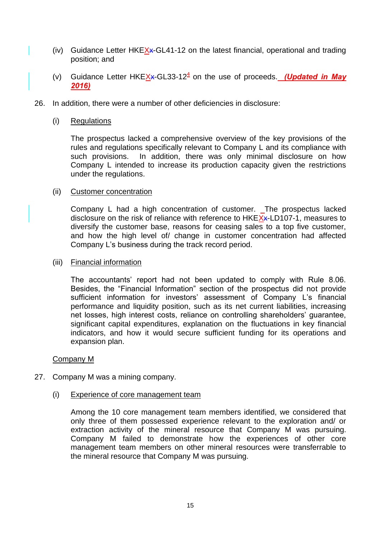- (iv) Guidance Letter HKE $X$ <sup> $\star$ </sup>-GL41-12 on the latest financial, operational and trading position; and
- (v) Guidance Letter HKEXx-GL33-12<sup>4</sup> on the use of proceeds. *(Updated in May 2016)*
- 26. In addition, there were a number of other deficiencies in disclosure:
	- (i) Regulations

The prospectus lacked a comprehensive overview of the key provisions of the rules and regulations specifically relevant to Company L and its compliance with such provisions. In addition, there was only minimal disclosure on how Company L intended to increase its production capacity given the restrictions under the regulations.

#### (ii) Customer concentration

Company L had a high concentration of customer. The prospectus lacked disclosure on the risk of reliance with reference to HKEXx-LD107-1, measures to diversify the customer base, reasons for ceasing sales to a top five customer, and how the high level of/ change in customer concentration had affected Company L's business during the track record period.

#### (iii) Financial information

The accountants' report had not been updated to comply with Rule 8.06. Besides, the "Financial Information" section of the prospectus did not provide sufficient information for investors' assessment of Company L's financial performance and liquidity position, such as its net current liabilities, increasing net losses, high interest costs, reliance on controlling shareholders' guarantee, significant capital expenditures, explanation on the fluctuations in key financial indicators, and how it would secure sufficient funding for its operations and expansion plan.

#### Company M

- 27. Company M was a mining company.
	- (i) Experience of core management team

Among the 10 core management team members identified, we considered that only three of them possessed experience relevant to the exploration and/ or extraction activity of the mineral resource that Company M was pursuing. Company M failed to demonstrate how the experiences of other core management team members on other mineral resources were transferrable to the mineral resource that Company M was pursuing.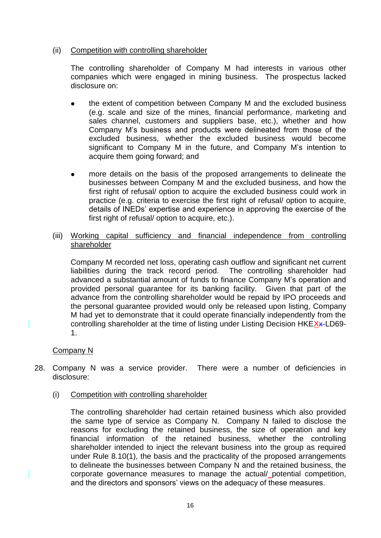### (ii) Competition with controlling shareholder

The controlling shareholder of Company M had interests in various other companies which were engaged in mining business. The prospectus lacked disclosure on:

- the extent of competition between Company M and the excluded business (e.g. scale and size of the mines, financial performance, marketing and sales channel, customers and suppliers base, etc.), whether and how Company M's business and products were delineated from those of the excluded business, whether the excluded business would become significant to Company M in the future, and Company M's intention to acquire them going forward; and
- more details on the basis of the proposed arrangements to delineate the businesses between Company M and the excluded business, and how the first right of refusal/ option to acquire the excluded business could work in practice (e.g. criteria to exercise the first right of refusal/ option to acquire, details of INEDs' expertise and experience in approving the exercise of the first right of refusal/ option to acquire, etc.).
- (iii) Working capital sufficiency and financial independence from controlling shareholder

Company M recorded net loss, operating cash outflow and significant net current liabilities during the track record period. The controlling shareholder had advanced a substantial amount of funds to finance Company M's operation and provided personal guarantee for its banking facility. Given that part of the advance from the controlling shareholder would be repaid by IPO proceeds and the personal guarantee provided would only be released upon listing, Company M had yet to demonstrate that it could operate financially independently from the controlling shareholder at the time of listing under Listing Decision HKEXx-LD69-1.

### Company N

- 28. Company N was a service provider. There were a number of deficiencies in disclosure:
	- (i) Competition with controlling shareholder

The controlling shareholder had certain retained business which also provided the same type of service as Company N. Company N failed to disclose the reasons for excluding the retained business, the size of operation and key financial information of the retained business, whether the controlling shareholder intended to inject the relevant business into the group as required under Rule 8.10(1), the basis and the practicality of the proposed arrangements to delineate the businesses between Company N and the retained business, the corporate governance measures to manage the actual/ potential competition, and the directors and sponsors' views on the adequacy of these measures.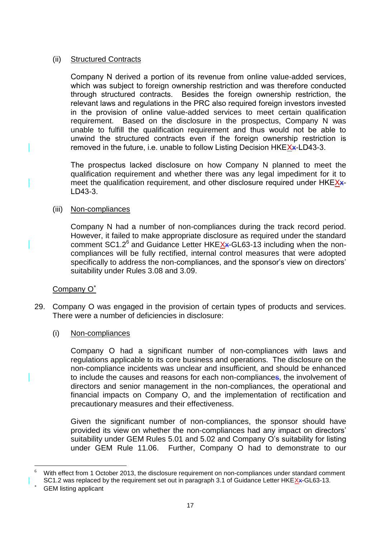### (ii) Structured Contracts

Company N derived a portion of its revenue from online value-added services, which was subject to foreign ownership restriction and was therefore conducted through structured contracts. Besides the foreign ownership restriction, the relevant laws and regulations in the PRC also required foreign investors invested in the provision of online value-added services to meet certain qualification requirement. Based on the disclosure in the prospectus, Company N was unable to fulfill the qualification requirement and thus would not be able to unwind the structured contracts even if the foreign ownership restriction is removed in the future, i.e. unable to follow Listing Decision HKEXx-LD43-3.

The prospectus lacked disclosure on how Company N planned to meet the qualification requirement and whether there was any legal impediment for it to meet the qualification requirement, and other disclosure required under HKEX\*-LD43-3.

### (iii) Non-compliances

Company N had a number of non-compliances during the track record period. However, it failed to make appropriate disclosure as required under the standard comment SC1.2<sup>6</sup> and Guidance Letter HKEXx-GL63-13 including when the noncompliances will be fully rectified, internal control measures that were adopted specifically to address the non-compliances, and the sponsor's view on directors' suitability under Rules 3.08 and 3.09.

## Company O<sup>\*</sup>

29. Company O was engaged in the provision of certain types of products and services. There were a number of deficiencies in disclosure:

### (i) Non-compliances

Company O had a significant number of non-compliances with laws and regulations applicable to its core business and operations. The disclosure on the non-compliance incidents was unclear and insufficient, and should be enhanced to include the causes and reasons for each non-compliances, the involvement of directors and senior management in the non-compliances, the operational and financial impacts on Company O, and the implementation of rectification and precautionary measures and their effectiveness.

Given the significant number of non-compliances, the sponsor should have provided its view on whether the non-compliances had any impact on directors' suitability under GEM Rules 5.01 and 5.02 and Company O's suitability for listing under GEM Rule 11.06. Further, Company O had to demonstrate to our

<sup>1</sup> With effect from 1 October 2013, the disclosure requirement on non-compliances under standard comment SC1.2 was replaced by the requirement set out in paragraph 3.1 of Guidance Letter HKEXx-GL63-13.

GEM listing applicant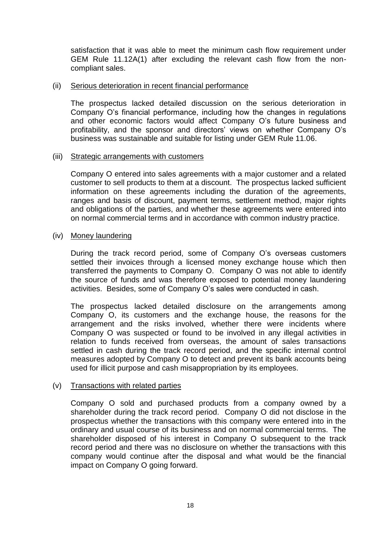satisfaction that it was able to meet the minimum cash flow requirement under GEM Rule 11.12A(1) after excluding the relevant cash flow from the noncompliant sales.

#### (ii) Serious deterioration in recent financial performance

The prospectus lacked detailed discussion on the serious deterioration in Company O's financial performance, including how the changes in regulations and other economic factors would affect Company O's future business and profitability, and the sponsor and directors' views on whether Company O's business was sustainable and suitable for listing under GEM Rule 11.06.

#### (iii) Strategic arrangements with customers

Company O entered into sales agreements with a major customer and a related customer to sell products to them at a discount. The prospectus lacked sufficient information on these agreements including the duration of the agreements, ranges and basis of discount, payment terms, settlement method, major rights and obligations of the parties, and whether these agreements were entered into on normal commercial terms and in accordance with common industry practice.

#### (iv) Money laundering

During the track record period, some of Company O's overseas customers settled their invoices through a licensed money exchange house which then transferred the payments to Company O. Company O was not able to identify the source of funds and was therefore exposed to potential money laundering activities. Besides, some of Company O's sales were conducted in cash.

The prospectus lacked detailed disclosure on the arrangements among Company O, its customers and the exchange house, the reasons for the arrangement and the risks involved, whether there were incidents where Company O was suspected or found to be involved in any illegal activities in relation to funds received from overseas, the amount of sales transactions settled in cash during the track record period, and the specific internal control measures adopted by Company O to detect and prevent its bank accounts being used for illicit purpose and cash misappropriation by its employees.

### (v) Transactions with related parties

Company O sold and purchased products from a company owned by a shareholder during the track record period. Company O did not disclose in the prospectus whether the transactions with this company were entered into in the ordinary and usual course of its business and on normal commercial terms. The shareholder disposed of his interest in Company O subsequent to the track record period and there was no disclosure on whether the transactions with this company would continue after the disposal and what would be the financial impact on Company O going forward.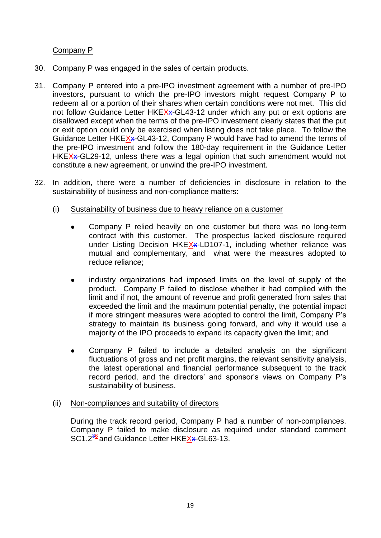### Company P

- 30. Company P was engaged in the sales of certain products.
- 31. Company P entered into a pre-IPO investment agreement with a number of pre-IPO investors, pursuant to which the pre-IPO investors might request Company P to redeem all or a portion of their shares when certain conditions were not met. This did not follow Guidance Letter HKEXx-GL43-12 under which any put or exit options are disallowed except when the terms of the pre-IPO investment clearly states that the put or exit option could only be exercised when listing does not take place. To follow the Guidance Letter HKEXx-GL43-12, Company P would have had to amend the terms of the pre-IPO investment and follow the 180-day requirement in the Guidance Letter HKE $X$  $\star$ -GL29-12, unless there was a legal opinion that such amendment would not constitute a new agreement, or unwind the pre-IPO investment.
- 32. In addition, there were a number of deficiencies in disclosure in relation to the sustainability of business and non-compliance matters:
	- (i) Sustainability of business due to heavy reliance on a customer
		- Company P relied heavily on one customer but there was no long-term contract with this customer. The prospectus lacked disclosure required under Listing Decision HKEXx-LD107-1, including whether reliance was mutual and complementary, and what were the measures adopted to reduce reliance;
		- industry organizations had imposed limits on the level of supply of the product. Company P failed to disclose whether it had complied with the limit and if not, the amount of revenue and profit generated from sales that exceeded the limit and the maximum potential penalty, the potential impact if more stringent measures were adopted to control the limit, Company P's strategy to maintain its business going forward, and why it would use a majority of the IPO proceeds to expand its capacity given the limit; and
		- Company P failed to include a detailed analysis on the significant fluctuations of gross and net profit margins, the relevant sensitivity analysis, the latest operational and financial performance subsequent to the track record period, and the directors' and sponsor's views on Company P's sustainability of business.

### (ii) Non-compliances and suitability of directors

During the track record period, Company P had a number of non-compliances. Company P failed to make disclosure as required under standard comment SC1.2<sup>36</sup> and Guidance Letter HKEXx-GL63-13.